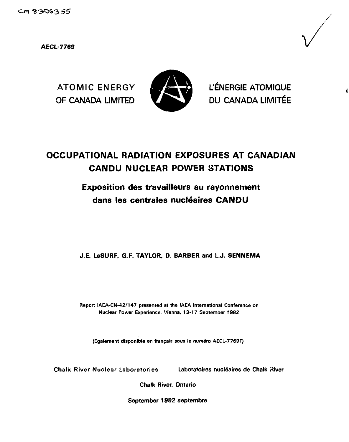**AECL-7769**



**ATOMIC ENERGY £2L S L'ENERGIE ATOMIQUE** OF CANADA LIMITED **VALUE DU CANADA LIMITÉE** 

# **OCCUPATIONAL RADIATION EXPOSURES AT CANADIAN CANDU NUCLEAR POWER STATIONS**

# **Exposition des travailleurs au rayonnement** dans les centrales nucléaires **CANDU**

**J.E. LeSURF, G.F. TAYLOR. D. BARBER** and **L.J. SENNEMA**

**Report IAEA-CN-42/147 presented at the IAEA International Conference on Nuclear Power Experience, Vienna. 13-17 September 1982**

**(Egalement disponible en francais sous le numero AECL-7769F)**

Chalk River Nuclear Laboratories Laboratoires nucléaires de Chalk River

Chalk River, Ontario

September 1982 septembre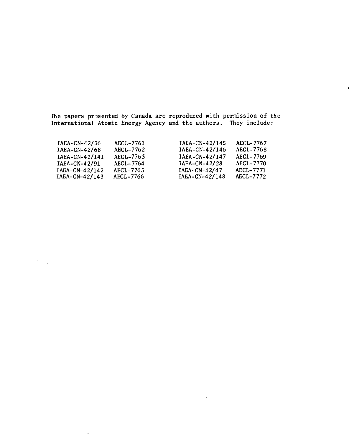The papers presented by Canada are reproduced with permission of the International Atomic Energy Agency and the authors. They include:

| AECL-7767        |
|------------------|
| AECL-7768        |
| <b>AECL-7769</b> |
| <b>AECL-7770</b> |
| AECL-7771        |
| AECL-7772        |
|                  |

 $\overline{a}$ 

 $\mathcal{O}(\sqrt{2})$ 

 $\mathbf{r}$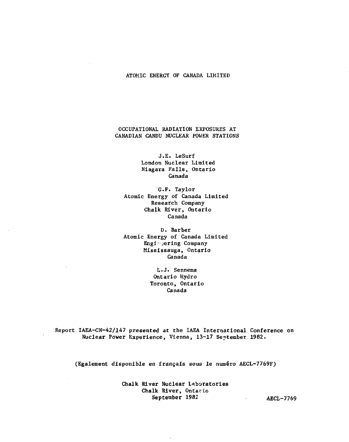### ATOMIC ENERGY OF CANADA LIMITED

# OCCUPATIONAL RADIATION EXPOSURES AT CANADIAN CANDU NUCLEAR POWER STATIONS

J.E. LeSurf London Nuclear Limited Niagara Falls, Ontario Canada

G.F. Taylor Atomic Energy of Canada Limited Research Company Chalk River, Ontario Canada

D. Barber Atomic Energy of Canada Limited Engi' jering Company Mississauga, Ontario Canada

> L.J• Sennema Ontario Hydro Toronto, Ontario Canada

Report IAEA-CN-42/147 presented at the IAEA International Conference on Nuclear Power Experience, Vienna, 13-17 September 1982.

(Egalement disponible en francais sous le numero AECL-7769F)

Chalk River Nuclear Laboratories Chalk River, Ontario<br>September 1982

AECL-7769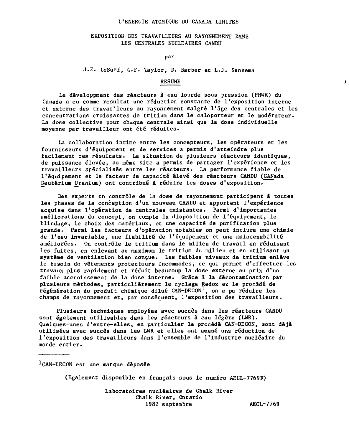### L'ENERGIE ATOMIQUE DU CANADA LIMITEE

## EXPOSITION DES TRAVAILLEURS AU RAYONNEMENT DANS LES CENTRALES NUCLEAIRES CANDU

par

J.E. LeSurf, G.F. Taylor, D. Barber et L.J. Sennema

### RESUME

Le développment des réacteurs à eau lourde sous pression (PHWR) du Canada a eu comme résultat une réduction constante de l'exposition interne et externe des travailleurs au rayonnement malgré l'âge des centrales et les concentrations croissantes de tritium dans le caloporteur et le modérateur. La dose collective pour chaque centrale ainsi que la dose individuelle moyenne par travailleur ont été réduites.

La collaboration intime entre les concepteurs, les opérateurs et les fournisseurs d'équipement et de services a permis d'atteindre plus facilement ces résultats. La situation de plusieurs réacteurs identiques, de puissance élevée, au même site a permis de partager l'expérience et les travailleurs spécialisés entre les réacteurs. La performance fiable de l'équipement et le facteur de capacité élevé des réacteurs CANDU (CANada Deuterium Uranium) ont contribué à réduire les doses d'exposition.

Des experts en contrôle de la dose de rayonnement participent â toutes les phases de la conception d'un nouveau CANDU et apportent l'expérience acquise dans l'opération de centrales existantes. Parmi d'importantes améliorations du concept, on compte la disposition de l'équipement, le blindage, le choix des matériaux, et une capacité de purification plus grande. Parmi les facteurs d'opération notables on peut inclure une chimie de l'eau invariable, une fiabilité de l'équipement et une maintenabilité améliorées. On contrôle le tritium dans le milieu de travail en réduisant les fuites, en enlevant au maximum le tritium du milieu et en utilisant un système de ventilation bien conçue. Les faibles niveaux de tritium enlève le besoin de vêtements protecteurs incommodes, ce qui permet d'effectuer les travaux plus rapidement et réduit beaucoup la dose externe au prix d'un faible accroissement de la dose interne. Grâce à la décontamination par plusieurs méthodes, particulièrement le cyclage Redox et le procédé de régénération du produit chimique dilué CAN-DECON<sup>1</sup>, on a pu réduire les champs de rayonnement et, par conséquent, l'exposition des travailleurs.

Plusieurs techniques employées avec succès dans les réacteurs CANDU sont également utilisables dans les réacteurs à eau légère (LWR). Quelques-unes d'entre-elles, en particulier le procédé CAN-DECON, sont déjà utilisées avec succès dans les LWR et elles ont awené une réduction de l'exposition des travailleurs dans l'ensemble de l'industrie nucléaire du monde entier.

 ${}^{1}$ CAN-DECON est une marque déposée

(Egalement disponible en français sous le numéro AECL-7769F)

Laboratoires nucléaires de Chalk River Chalk River, Ontario 1982 septembre AECL-7769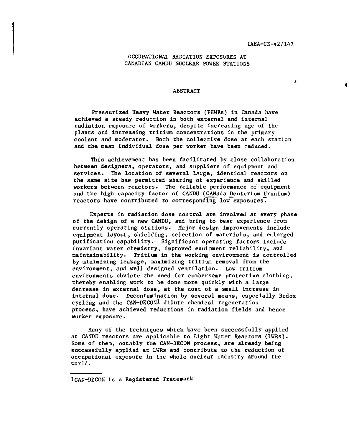$\bullet$ 

# OCCUPATIONAL RADIATION EXPOSURES AT CANADIAN CANDU NUCLEAR POWER STATIONS

### ABSTRACT

Pressurized Heavy Water Reactors (PHWRs) in Canada have achieved a steady reduction in both external and internal radiation exposure of workers, despite increasing age of the plants and increasing tritium concentrations in the primary coolant and moderator. Both the collective dose at each station and the mean individual dose per worker have been reduced.

This achievement has been facilitated by close collaboration between designers, operators, and suppliers of equipment and services. The location of several large, identical reactors on the same site has permitted sharing ot experience and skilled workers between reactors. The reliable performance of equipment and the high capacity factor of CANDU (CANada Deuterium Uranium) reactors have contributed to corresponding low exposures.

Experts in radiation dose control are involved at every phase of the design of a new CANDU, and bring to bear experience from currently operating stations. Major design improvements include equipment layout, shielding, selection of materials, and enlarged purification capability. Significant operating factors include invariant water chemistry, improved equipment reliability, and maintainability. Tritium in the working environment is controlled by minimizing leakage, maximizing tritium removal from the environment, and well designed ventilation. Low tritium environments obviate the need for cumbersome protective clothing, thereby enabling work to be done more quickly with a large decrease in external dose, at the cost of a small increase in internal dose. Decontamination by several means, especially Redox cycling and the CAN-DECON<sup>1</sup> dilute chemical regeneration process, have achieved reductions in radiation fields and hence worker exposure.

Many of the techniques which have been successfully applied at CANDU reactors are applicable to Light Water Reactors (LWRs). Some of them, notably the CAN-DECON process, are already being successfully applied at LWRs and contribute to the reduction of occupational exposure in the whole nuclear industry around the world.

lCAN-DECON is a Registered Trademark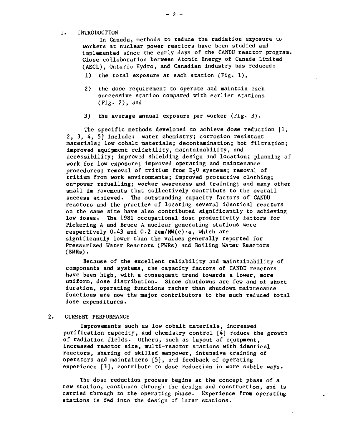### 1. INTRODUCTION

In Canada, methods to reduce the radiation exposure to workers at nuclear power reactors have been studied and implemented since the early days of the CANDU reactor program. Close collaboration between Atomic Energy of Canada Limited (AECL), Ontario Hydro, and Canadian industry has reduced:

- 1) the total exposure at each station (Fig. 1),
- 2) the dose requirement to operate and maintain each successive station compared with earlier stations  $(fig. 2)$ , and
- 3) the average annual exposure per worker (Fig. 3) .

The specific methods developed to achieve dose reduction  $\{1,$ 2, 3, 4, 5] include: water chemistry; corrosion resistant materials; low cobalt materials; decontamination; hot filtration; improved equipment reliability, maintainability, and accessibility; improved shielding design and location; planning of work for low exposure; improved operating and maintenance procedures; removal of tritium from  $D_2O$  systems; removal of tritium from work environments; improved protective clothing; on-power refuelling; worker awareness and training; and many other small improvements that collectively contribute to the overall success achieved. The outstanding capacity factors of CANDU reactors and the practice of locating several identical reactors on the same site have also contributed significantly to achieving low doses. The 1981 occupational dose productivity factors for Pickering A and Bruce A nuclear generating stations were respectively  $0.43$  and  $0.2$  rem/MW(e) $\cdot$ a, which are significantly lower than the values generally reported for Pressurized Water Reactors (PWRs) and Boiling Water Reactors (BWRs) .

Because of the excellent reliability and maintainability of components and systems, the capacity factors of CANDU reactors have been high, with a consequent trend towards a lower, more uniform, dose distribution. Since shutdowns are few and of short duration, operating functions rather than shutdown maintenance functions are now the major contributors to the much reduced total dose expenditures.

#### $2.$ CURRENT PERFORMANCE

Improvements such as low cobalt materials, increased purification capacity, and chemistry control [4] reduce the growth of radiation fields. Others, such as layout of equipment, increased reactor size, multi-reactor stations with identical reactors, sharing of skilled manpower, intensive training of operators and maintainers [5], and feedback of operating experience [3], contribute to dose reduction in more subtle ways.

The dose reduction process begins at the concept phase of a new station, continues through the design and construction, and is carried through to the operating phase. Experience from operating stations is fed into the design of later stations.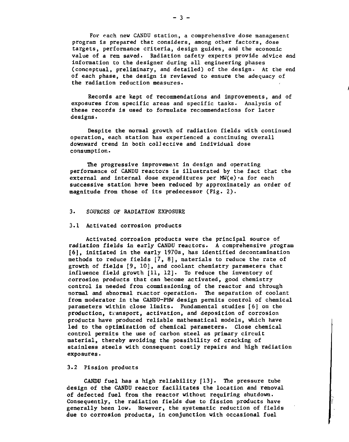For each new CANDU station, a comprehensive dose management program is prepared that considers, among other factors, dose targets, performance criteria, design guides, and the economic value of a rem saved. Radiation safety experts provide advice and information to the designer during all engineering phases (conceptual, preliminary, and detailed) of the design. At the end of each phase, the design is reviewed to ensure the adequacy of the radiation reduction measures.

Records are kept of recommendations and improvements, and of exposures from specific areas and specific tasks. Analysis of these records is used to formulate recommendations for later designs.

Despite the normal growth of radiation fields with continued operation, each station has experienced a continuing overall downward trend in both collective and individual dose consumption.

The progressive improvement in design and operating performance of CANDU reactors is illustrated by the fact that the external and internal dose expenditures per MW(e) a for each successive station have been reduced by approximately an order of magnitude from those of its predecessor (Fig. 2) .

### 3. SOURCES OF RADIATION EXPOSURE

#### 3.1 Activated corrosion products

Activated corrosion products were the principal source of radiation fields in early CANDU reactors. A comprehensive program [6], initiated in the early 1970s, has identified decontamination methods to reduce fields  $[7, 8]$ , materials to reduce the rate of growth of fields [9, 10], and coolant chemistry parameters that influence field growth [11, 12]. To reduce the inventory of corrosion products that can become activated, good chemistry control is needed from commissioning of the reactor and through normal and abnormal reactor operation. The separation of coolant from moderator in the CANDU-PHW design permits control of chemical parameters within close limits. Fundamental studies [6] on the production, transport, activation, and deposition of corrosion products have produced reliable mathematical models, which have led to the optimization of chemical parameters. Close chemical control permits the use of carbon steel as primary circuit material, thereby avoiding the possibility of cracking of stainless steels with consequent costly repairs and high radiation exposures.

# 3.2 Fission products

CANDU fuel has a high reliability [13]. The pressure tube design of the CANDU reactor facilitates the location and removal of defected fuel from the reactor without requiring shutdown. Consequently; the radiation fields due to fission products have generally been low. However, the systematic reduction of fields due to corrosion products, in conjunction with occasional fuel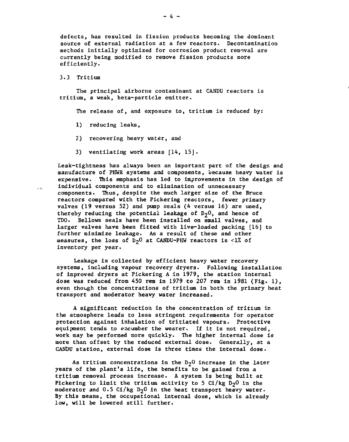defects, has resulted in fission products becoming the dominant source of external radiation at a few reactors. Decontamination methods initially optimized for corrosion product removal are currently being modified to remove fission products more efficiently.

3.3 Tritium

The principal airborne contaminant at CANDU reactors is tritium, a weak, beta-particle emitter.

The release of, and exposure to, tritium is reduced by:

- 1) reducing leaks,
- 2) recovering heavy water, and
- 3) ventilating work areas [14, 15].

Leak-tightness has always been an important part of the design and manufacture of PHWR systems and components, because heavy water is expensive. This emphasis has led to improvements in the design of individual components and to elimination of unnecessary components. Thus, despite the much larger size of the Bruce reactors compared with the Pickering reactors, fewer primary valves (19 versus 52) and pump seals (4 versus 16) are used, thereby reducing the potential leakage of  $D_2$ <sup>0</sup>, and hence of TDO. Bellows seals have been installed on small valves, and larger valves have been fitted with live-loaded packing [16] to further minimize leakage. As a result of these and other measures, the loss of  $D_2$ <sup>O</sup> at CANDU-PHW reactors is <1% of inventory per year.

Leakage is collected by efficient heavy water recovery systems, including vapour recovery dryers. Following installation of improved dryers at Pickering A in 1979, the station internal dose was reduced from 450 rem in 1979 to 207 rem in 1981 (Fig. 1). even though the concentrations of tritium in both the primary heat transport and moderator heavy water increased.

A significant reduction in the concentration of tritium in the atmosphere leads to less stringent requirements for operator protection against inhalation of tritiated vapours. Protective equipment tends to encumber the wearer. If it is not required, work may be performed more quickly. The higher internal dose is more than offset by the reduced external dose. Generally, at a CANDU station, external dose is three times the internal dose.

As tritium concentrations in the  $D_2$ <sup>O</sup> increase in the later years of the plant's life, the benefits to be gained from a tritium removal process increase. A system is being built at Pickering to limit the tritium activity to 5  $Ci/kg$  D<sub>2</sub>0 in the moderator and  $0.5$  Ci/kg D<sub>2</sub>0 in the heat transport heavy water. By this means, the occupational internal dose, which is already low, will be lowered still further.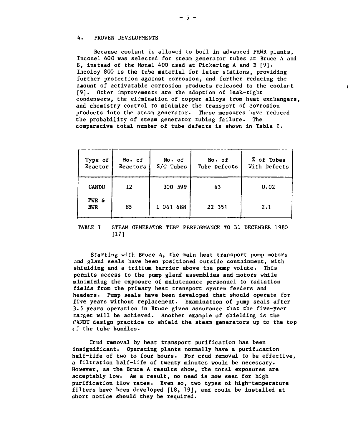### **4. PROVEN DEVELOPMENTS**

**Because coolant is allowed to boil in advanced PHWR plants, Inconel 600 was selected for steam generator tubes at Bruce A and B, instead of the Monel 400 used at Pickering A and B [9]. Incoloy 800 is the tube material for later stations, providing further protection against corrosion, and further reducing the ajiount of activatable corrosion products released to the coolant [9]. Other improvements are the adoption of leak-tight condensers, the elimination of copper alloys from heat exchangers, and chemistry control to minimize the transport of corrosion products into the stesa generator. These measures have reduced the probability of steam generator tubing failure. The comparative total number of tube defects is shown in Table I.**

| Type of<br>Reactor | No. of<br>Reactors | No. of<br>S/G Tubes | No. of<br>Tube Defects | % of Tubes<br>With Defects |
|--------------------|--------------------|---------------------|------------------------|----------------------------|
| CANDU              | 12                 | 300 599             | 63                     | 0.02                       |
| PWR &<br>BWR       | 85                 | 1 061 688           | 22 351                 | 2.1                        |

## **TABLE I STEAM GENERATOR TUBE PERFORMANCE TO 31 DECEMBER 1980 [17]**

**Starting with Bruce A, the main heat transport pump motors anil gland seals have been positioned outside containment, with shielding and a tritium barrier above the pump volute. This permits access to the pump gland assemblies and motors while minimizing the exposure of maintenance personnel to radiation fields from the primary heat transport system feeders and headers. Pump seals have been developed that should operate for five years without replacement. Examination of pump seals after 3.5 years operation in Bruce gives assurance that the five-year target will be achieved. Another example of shielding is the C4NDU design practice to shield the steam generators up to the top cl the tube bundles.**

**Crud removal by heat transport purification has been insignificant. Operating plants normally have a purification half-life of two to four hours. For crud removal to be effective, a filtration half-life of twenty minutes would be necessary. However, as the Bruce A results show, the total exposures are acceptably low. As a result, no need is now seen for high purification flow rates. Even so, two types of high-temperature filters have been developed [18, 19], and could be installed at short notice should they be required.**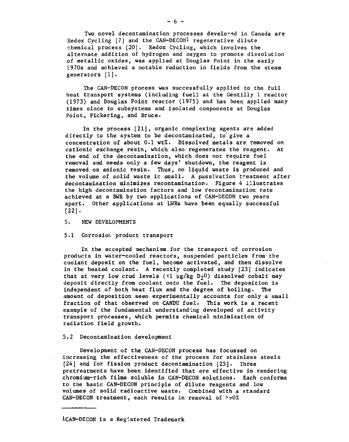Two novel decontamination processes develored in Canada are Redox Cycling [7] and the CAN-DECONl regenerative dilute chemical process [20]. Redox Cycling, which involves the alternate addition of hydrogen and oxygen to promote dissolution of metallic oxides, was applied at Douglas Point in the early 1970s and achieved a notable reduction in fields from the steam generators [1].

The CAN-DECON process was successfully applied to the full heat transport systems (including fuel) at the Gentilly 1 reactor (1973) and Douglas Point reactor (1975) and has been applied many times since to subsystems and isolated components at Douglas Point, Pickering, and Bruce.

In the process [21], organic complexing agents are added directly to the system to be decontaminated, to give a concentration of about 0.1 wt%. Dissolved metals are removed on cationic exchange resin, which also regenerates the reagent. At the end of the decontamination, which does not require fuel removal and needs only a few days' shutdown, the reagent is removed on anionic resin. Thus, no liquid waste is produced and the volume of solid waste is small. A passivation treatment after decontamination minimizes recontamination- Figure 4 illustrates the high decontamination factors and low recontamination rate achieved at a BWR by two applications of CAN-DECON two years apart. Other applications at LWRs have been equally successful [22].

5. NEW DEVELOPMENTS

### 5.1 Corrosioi, product transport

In the accepted mechanism for the transport of corrosion products in water-cooled reactors, suspended particles from the coolant deposit on the fuel, become activated, and then dissolve in the heated coolant. A recently completed study [23] indicates that at very low crud levels (<1  $\mu$ g/kg D<sub>2</sub>0) dissolved cobalt may deposit directly from coolant onto the fuel. The deposition is independent of both heat flux and the degree of boiling. The amount of deposition seen experimentally accounts for only a small fraction of that observed on CANDU fuel. This work is a recent example of the fundamental understanding developed of activity transport processes, which permits chemical minimization of radiation field growth.

### 5.2 Decontamination development

Development of the CAN-DECON process has focussed on increasing the effectiveness of the process for stainless steels [24] and for fission product decontamination [25]. Three pretreatments have been identified that are effective in rendering chromium-rich films soluble in CAN-DECON solutions. Each conforms to the basic CAN-DECON principle of dilute reagents and low volumes of solid radioactive waste. Combined with a standard  $CAN-DECON$  treatment, each results in removal of  $>0.90%$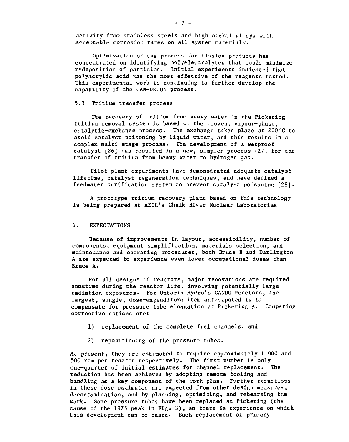activity from stainless steels and high nickel alloys with acceptable corrosion rates on all system materials'.

Optimization of the process for fission products has concentrated on identifying polyelectrolytes that could minimize redeposition of particles. Initial experiments indicated that po<sup>1</sup>yacrylic acid was the most effective of the reagents tested. This experimental work is continuing to further develop the capability of the CAN-DECON process.

## 5.3 Tritium transfer process

The recovery of tritium from heavy water in the Pickering tritium removal system is based on the proven, vapour-phase, catalytic-exchange process. The exchange takes place at 200"C to avoid catalyst poisoning by liquid water, and this results in a complex multi-stage process. The development of a wetproof catalyst [26] has resulted in a new, simpler process f27] for the transfer of tritium from heavy water to hydrogen gas.

Pilot plant experiments have demonstrated adequate catalyst lifetime, catalyst regeneration techniques, and have defined a feedwater purification system to prevent catalyst poisoning [28].

A prototype tritium recovery plant based on this technology is being prepared at AECL's Chalk River Nuclear Laboratories.

### 6. EXPECTATIONS

Because of improvements in layout, accessibility, number of components, equipment simplification, materials selection, and maintenance and operating procedures, both Bruce B and Darlington A are expected to experience even lower occupational doses than Bruce A.

For all designs of reactors, major renovations are required sometime during the reactor life, involving potentially large radiation exposures. For Ontario Hydro's CANDO reactors, the largest, single, dose-expenditure item anticipated is to compensate for pressure tube elongation at Pickering A. Competing corrective options are:

- 1) replacement of the complete fuel channels, and
- 2) repositioning of the pressure tubes.

At present, they are estimated to require approximately 1 000 and 500 rem per reactor respectively. The first number is only one-quarter of initial estimates for channel replacement. The reduction has been achieved by adopting remote tooling and handling as a key component of the work plan. Further reductions in these dose estimates are expected from other design measures, decontamination, and by planning, optimizing, and rehearsing the work. Some pressure tubes have been replaced at Pickering (the cause of the 1975 peak in Fig. 3) , so there is experience on which this development can be based. Such replacement of primary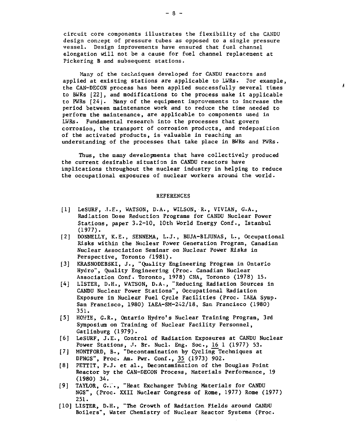circuit core components illustrates the flexibility of the CANDU design concept of pressure tubes as opposed to a single pressure vessel. Design improvements have ensured that fuel channel elongation will not be a cause for fuel channel replacement at Pickering B and subsequent stations.

Many of the techniques developed for CANDU reactors and applied at existing stations are applicable to LWRs. For example, the CAN-DECON process has been applied successfully several times to BWRs [22], and modifications tc the process make it applicable to PWRs [24J. Many of the equipment improvements to increase the period between maintenance work and to reduce the time needed to perform the maintenance, are applicable to components used in LWRs. Fundamental research into the processes that govern corrosion, the transport of corrosion products, and redeposition of the activated products, is valuable in reaching an understanding of the processes that take place in BWRs and PWRs.

Thus, the many developments that have collectively produced the current desirable situation in CANDU reactors have implications throughout the nuclear industry in helping to reduce the occupational exposures of nuclear workers around the world.

### REFERENCES

- [1] LeSURF, .T.E., WATSON, D.A. , WILSON, R., VIVIAN, G.A., Radiation Dose Reduction Programs for CANDU Nuclear Power Stations, paper 3.2-10, 10th World Energy Conf., Istanbul (1977).
- [2] DONNELLY, K.E., SENNEMA, L.J., BUJA-BIJUNAS, L., Occupational Risks within the Nuclear Power Generation Program, Canadian Nuclear Association Seminar on Nuclear Power Risks in Perspective, Toronto (1981).
- [3] KRASNODEBSKI, J., "Quality Engineering Program in Ontario Hydro", Quality Engineering (Proc. Canadian Nuclear Association Conf. Toronto, 1978) CNA, Toronto (1978) 15.
- [4] LISTER, D.H., WATSON, D.A,, "Reducing Radiation Sources in CANDU Nuclear Power Stations", Occupational Radiation Exposure in Nuclear Fuel Cycle Facilities (Proc. IAEA Symp. San Francisco, 1980) IAEA-SM-242/18, San Francisco (1980) 351.
- [5] HOWIE, G.R., Ontario Hydro's Nuclear Training Program, 3rd Symposium on Training of Nuclear Facility Personnel, Gatlinburg (1979).
- [6] LeSURF, J.E., Control of Radiation Exposures at CANDU Nuclear Power Stations, J. Br. Nucl. Eng. Soc.,  $16 \ 1 \ (1977)$  53.
- [7] MONTFORD, B., "Decontamination by Cycling Techniques at DPNGS", Proc. Am. Pwr. Conf., 35\_ (1973) 902.
- [8] PETTIT, P.J. et al., Decontamination of the Douglas Point Reactor by the CAN-DECON Process, Materials Performance, 19 (1980) 34.
- [9] TAYLOR, G.i'., "Heat Exchanger Tubing Materials for CANDU NGS", (Proc. XXII Nuclear Congress of Rome, 1977) Rome (1977) 251.
- [10] LISTER, D.H., "The Growth of Radiation Fields around CANDU Boilers", Water Chemistry of Nuclear Reactor Systems (Proc.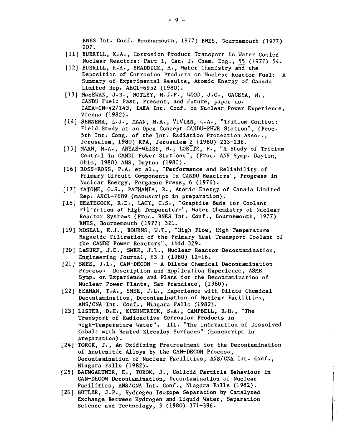BNES Int. Conf. Bournemouth, 1977) BNES, Bournemouth (1977) 207.

- [11] BURRILL, K.A., Corrosion Product Transport in Water Cooled Nuclear Reactors: Part 1, Can. J. Chem. Eng., 55 (1977) 54.
- [12] BURRILL, K.A., SHADDICK, A., Water Chemistry and" the Deposition of Corrosion Products on Nuclear Reactor Fuel: A Summary of Experimental Results, Atomic Energy of Canada Limited Rep. AECL-6952 (1980).
- [13] MacEWAN, J.R,, NOTLEY, M.J.F., WOOD, J.C., GACESA, M., CANDU Fuel: Past, Present, and Future, paper no. IAEA-CN-42/143, IAEA Int. Conf. on Nuclear Power Experience, Vienna (1982).
- [14] SENNEMA, L.J., MAAN, M.A., VIVIAN, G.A., "Tritium Control: Field Study at an Open Concept CANDU-PHWR Station", (Proc. 5th Int. Cong, of the Int. Radiation Protection Assoc, Jerusalem, 1980) RPA, Jerusalem 2 (1980) 233-236.
- [15] MAAN, M.A., ANYAS-WEISS, N., LORITZ, F., "A Study of Tritium Control in CANDU Power Stations", (Proc. ANS Symp. Dayton, Ohio, 1980) ANS, Dayton (1980).
- [16] ROSS-ROSS, P.A. et al., "Performance and Reliability of Primary Circuit Components in CANDU Reactors", Progress in Nuclear Energy, Pergamon Press, 6 (1976).
- [17] TATONE, O.S., PATHANIA, R., Atomic Energy of Canada Limited Rep. AECL-7689 (manuscript in preparation).
- [18] HEATHCOCK, R.E., LACY, C.S., "Graphite Beds for Coolant Filtration at High Temperature", Water Chemistry of Nuclear Reactor Systems (Proc. BNES Int. Conf., Bournemouth, 1977) BNES, Bournemouth (1977) 321.
- [19] MOSKAL, E.J., BOURNS, W.T., "High Flow, High Temperature Magnetic Filtration of the Primary Heat Transport Coolant of the CANDU Power Reactors", ibid 329.
- [20] LeSURF, J.E., SMEE, J.L., Nuclear Reactor Decontamination, Engineering Journal, 63 1 (1980) 12-16.
- [21] SMEE, J.L., CAN-DECON A Dilute Chemical Decontamination Process: Description and Application Experience, ASME Symp. on Experience and Plans for the Decontamination of Nuclear Power Plants, San Francisco, (1980).
- [22] BEAMAN, T.A., SMEE, J.L., Experience with Dilute Chemical Decontamination, Decontamination of Nuclear Facilities, ANS/CNA Int. Conf., Niagara Falls (1982).
- [23] LISTER, D.H., KUSHNERIUK, S.A., CAMPBELL, R.H., "The Transport of Radioactive Corrosion Products in 'ttgh-Temperature Water". III. "The Interaction of Dissolved Cobalt with Heated Zircaloy Surfaces" (manuscript in preparation).
- [24] T0R0K, J., An Oxidizing Pretreatment for the Decontamination of Austenitic Alloys by the CAN-DECON Process, Decontamination of Nuclear Facilities, ANS/CNA Int. Conf., Niagara Falls (1982).
- [25] BAUMGARTNER, E., TOROK, J., Colloid Particle Behaviour in CAN-DECON Decontamination, Decontamination of Nuclear Facilities, ANS/CNA Int. Conf., Niagara Falls (1982).
- [26] BUTLER, J.P., Hydrogen Isotope Separation by Catalyzed Exchange Between Hydrogen and Liquid Water, Separation Science and Technology, 3 (1980) 371-396.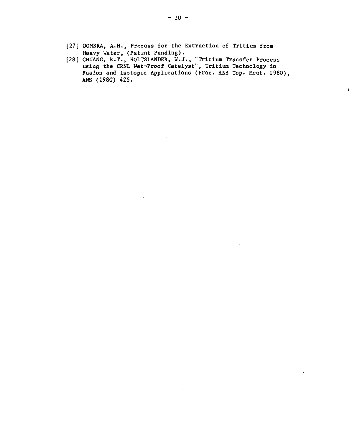- [27] DOMBRA, A.H., Process for the Extraction of Tritium from Heavy Water, (Patent Pending).
- [28] CHUANG, K.T., HOLTSLANDER, W.J., "Tritium Transfer Process using the CRNL Wet-Proof Catalyst", Tritium Technology in Fusion and Isotopic Applications (Proc. ANS Top. Meet. 1980), ANS (1980) 425.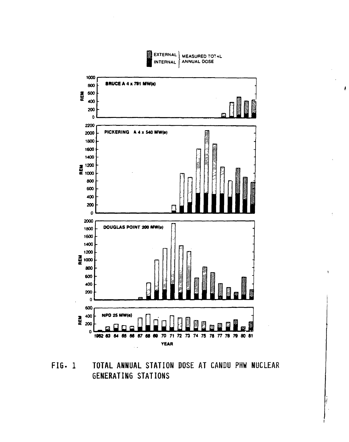

Á

**FIG- 1 TOTAL ANNUAL STATION DOSE AT CANDU PHW NUCLEAR GENERATING STATIONS**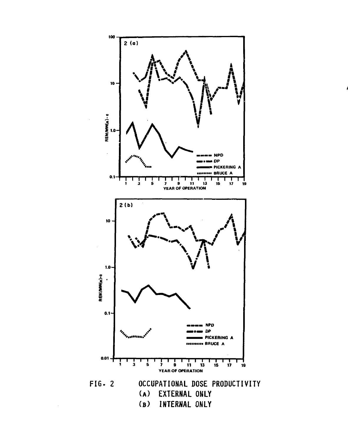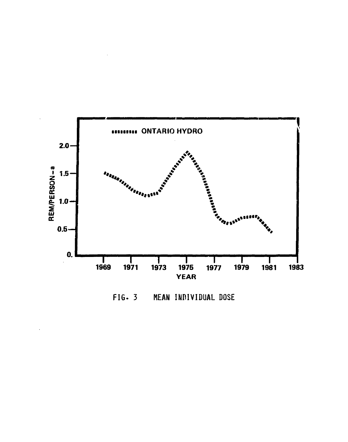

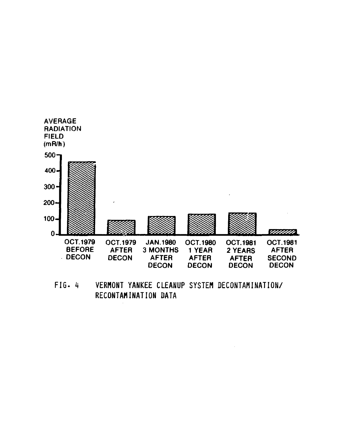

**FIG . H VERMONT YANKEE CLEANUP SYSTEM DECONTAMINATION/ RECONTAMINATION DATA**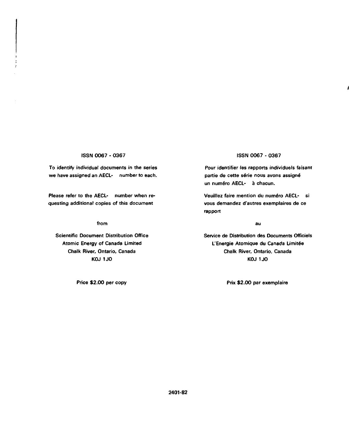### **ISSN 0067 - 0367**

**To identify individual documents in the series we have assigned an AECL- number to each.**

**Please refer to the AECL- number when requesting additional copies of this document**

**from**

**Scientific Document Distribution Office Atomic Energy of Canada Limited Chalk River, Ontario, Canada KOJ 1J0**

# **ISSN 0067 - 0367**

**Pour identifier les rapports individuels faisant** partie de cette série nous avons assigné **un num£ro AECL- h chacun.**

**Veuillez faire mention du numéro AECL- si vous demandez d'autres exemplatres de ce rapport**

au

**Service de Distribution des Documents Officiels** L'Energie Atomique du Canada Limitée **Chalk River, Ontario, Canada KOJ 1 JO**

**Price \$2.00 per copy Prix \$2.00 par exemplaire**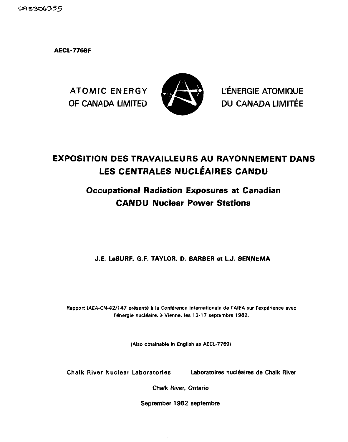CA8306355

**AECL-7769F**



ATOMIC ENERGY **KS LEWIS COMPANY** L'ÉNERGIE ATOMIQUE OF CANADA LIMITED **VALUE AND BUCANADA LIMITÉE** 

# **EXPOSITION DES TRAVAILLEURS AU RAYONNEMENT DANS LES CENTRALES NUCLÉAIRES CANDU**

# **Occupational Radiation Exposures at Canadian CANDU Nuclear Power Stations**

**J.E. LeSURF. G.F. TAYLOR, D. BARBER et L.J. SENNEMA**

Rapport IAEA-CN-42/147 présenté à la Conférence internationale de l'AIEA sur l'expérience avec l'énergie nucléaire, à Vienne, les 13-17 septembre 1982.

**(Also obtainable in English as AECL-7769)**

Chalk River Nuclear Laboratories Laboratoires nucleates de Chalk River

Chalk River, Ontario

September 1982 septembre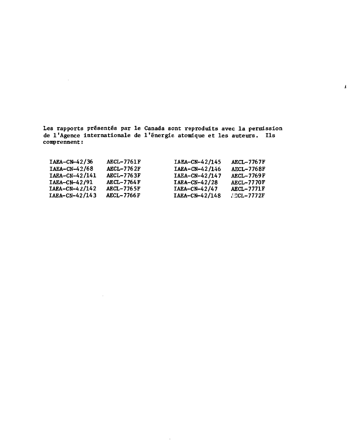**Les rapports presentes par l e Canada sont reprodults avec l a permission de 1'Agenee internationale de l'energi e atomtque e t le s auteurs. U s comprennent:**

 $\lambda$ 

 $\omega$ 

 $\mathcal{L}$ 

| $IABA-CN-42/36$  | <b>AECL-7761F</b> | IAEA-CN-42/145   | AECL-7767F        |
|------------------|-------------------|------------------|-------------------|
| $IAEA-CN-42/68$  | <b>AECL-7762F</b> | $IABA-CN-42/146$ | <b>AECL-7768F</b> |
| IAEA-CN-42/141   | <b>AECL-7763F</b> | IAEA-CN-42/147   | AECL-7769F        |
| IAEA-CN-42/91    | <b>AECL-7764F</b> | $IABA-CN-42/28$  | <b>AECL-7770F</b> |
| $IABA-CN-42/142$ | <b>AECL-7765F</b> | IAEA-CN-42/47    | <b>AECL-7771F</b> |
| IAEA-CN-42/143   | <b>AECL-7766F</b> | IAEA-CN-42/148   | AECL-7772F        |

l,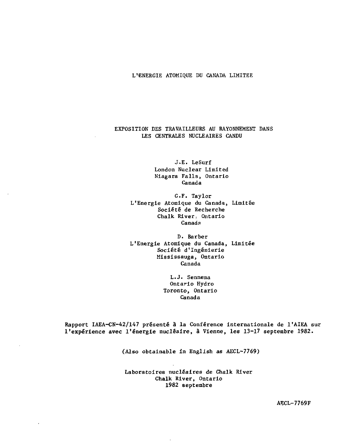**L'ENERGIE ATOMIQUE DU CANADA LIMITEE**

# **EXPOSITION DES TRAVAILLEURS AU RAYONNEMENT DANS LES CENTRALES NUCLEAIRES CANDU**

J.E. LeSurf London Nuclear Limited Niagara Falls, Ontario Canada

G.F. Taylor L'Energie Atomique du Canada, Limitée Société de Recherche Chalk River- Ontario Canada

D. Barber L'Energie Atomique du Canada, Limitée Société d'Ingénierie Mississauga, Ontario Canada

> L.J. Sennema Ontario Hydro Toronto, Ontario Canada

Rapport IAEA-CN-42/147 présenté â la Conférence internationale de l'AIEA sur l'expérience avec l'énergie nucléaire, à Vienne, les 13-17 septembre 1982.

(Also obtainable in English as AECL-7769)

Laboratoires nucléaires de Chalk River Chalk River, Ontario 1982 septembre

AECL-7769F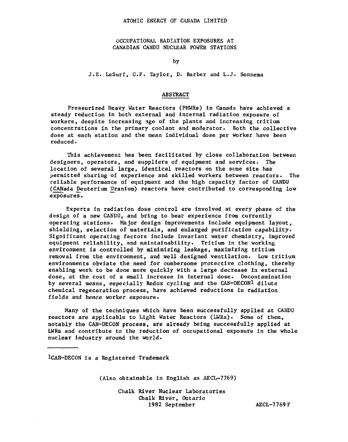OCCUPATIONAL RADIATION EXPOSURES AT CANADIAN CANDU NUCLEAR POWER STATIONS

by

J.E. LeSurf, G.F. Taylor, D. Barber and L.J. Sennema

# ABSTRACT

Pressurized Heavy Water Reactors (PHWRs) in Canada have achieved a steady reduction in both external and internal radiation exposure of workers, despite increasing age of the plants and increasing tritium concentrations in the primary coolant and moderator. Both the collective dose at each station and the mean individual dose per worker have been reduced.

This achievement has been facilitated by close collaboration between designers, operators, and suppliers of equipment and services. The location of several large, identical reactors on the same site has permitted sharing of experience and skilled workers between reactors. The reliable performance of equipment and the high capacity factor of CANDU (CANada Deuterium Uranium) reactors have contributed to corresponding low exposures.

Experts in radiation dose control are involved at every phase of the design of a new CANDU, and bring to bear experience from currently operating stations. Major design improvements include equipment layout, shielding, selection of materials, and enlarged purification capability. Significant operating factors include invariant water chemistry, improved equipment reliability, and maintainability. Tritium in the working environment is controlled by minimizing leakage, maximizing tritium removal from the environment, and well designed ventilation. Low tritium environments obviate the need for cumbersome protective clothing, thereby enabling work to be done more quickly with a large decrease in external dose, at the cost of a small increase in internal dose. Decontamination by several means, especially Redox cycling and the CAN-DECON1 dilute chemical regeneration process, have achieved reductions in radiation fields and hence worker exposure.

Many of the techniques which have been successfully applied at CANDU reactors are applicable to Light Water Reactors (LWRs). Some of them, notably the CAN-DECON process, are already being successfully applied at LWRs and contribute to the reduction of occupational exposure in the whole nuclear industry around the world.

lCAN-DECON is a Registered Trademark

 $(Also obtainable in English as AECL-7769)$ 

Chalk River Nuclear Laboratories Chalk River, Ontario 1982 September AECL-7769F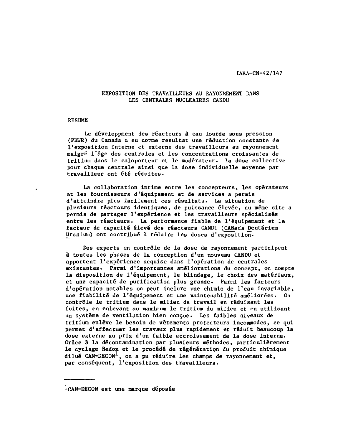## **EXPOSITION DES TRAVAILLEURS AU RAYONNEMENT DANS LES CENTRALES NUCLEAIRES CANDU**

### **RESUME**

Le développment des réacteurs à eau lourde sous pression (PHWR) du Canada a eu conme résultat une réduction constante de l'exposition interne et externe des travailleurs au rayonnement malgré l'âge des centrales et les concentrations croissantes de tritium dans le caloporteur et le modérateur. La dose collective pour chaque centrale ainsi que la dose individuelle moyenne par travailleur ont été réduites.

La collaboration intime entre les concepteurs, les opérateurs et les fournisseurs d'équipement et de services a permis d'atteindre plus facilement ces résultats. La situation de plusieurs réacteurs identiques, de puissance élevée, au même site a permis de partager l'expérience et les travailleurs spécialisés entre les réacteurs. La performance fiable de l'équipement et le facteur de capacité élevé des réacteurs CANDU (CANada Deutérium Uranium) ont contribué à réduire les doses d'exposition.

Des experts en contrôle de la dose de rayonnement participent à toutes les phases de la conception d'un nouveau CANDU et apportent l'expérience acquise dans l'opération de centrales existantes. Parmi d'importantes améliorations du concept, on compte la disposition de l'équipement, le blindage, le choix des matériaux, et une capacité de purification plus grande. Parmi les facteurs d'opération notables on peut inclure une chimie de l'eau invariable, une fiabilité de l'équipement et une naintenabilité améliorées. On contrôle le tritium dans le milieu de travail en réduisant les fuites, en enlevant au maximum le tritium du milieu et en utilisant un système de ventilation bien conçue. Les faibles niveaux de tritium enlève le besoin de vêtements protecteurs incommodes, ce qui permet d'effectuer les travaux plus rapidement et réduit beaucoup la dose externe au prix d'un faible accroissement de la dose interne. Grâce à la décontamination par plusieurs méthodes, particulièrement le cyclage Redox et le procédé de régénération du produit chimique dilué CAN-DECON<sup>1</sup>, on a pu réduire les champs de rayonnement et, par conséquent, l'exposition des travailleurs.

icAN-DECON est une marque déposée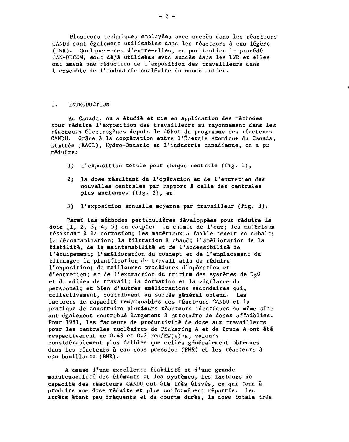Plusieurs techniques employées avec succès dans les réacteurs CANDU sont également utilisables dans les réacteurs à eau légère (LWR). Quelques-unes d'entre-elles, en particulier le procédé CAN-DECON, sont déjà utilisées avec succès dans les LWR et elles ont amené une réduction de l'exposition des travailleurs dans l'ensemble de l'industrie nucléaire du monde entier.

### 1. INTRODUCTION

Au Canada, on a étudié et mis en application des méthodes pour réduire l'exposition des travailleurs au rayonnement dans les réacteurs électrogènes depuis le début du programme des réacteurs CANDU. Grâce à la coopération entre l'Énergie Atomique du Canada, Limitée (EACL), Hydro-Ontario et l'industrie canadienne, on a pu réduire:

- 1) l'exposition totale pour chaque centrale (fig. 1) ,
- 2; la dose résultant de l'opération et de l'entretien des nouvelles centrales par rapport â celle des centrales plus anciennes (fig. 2), et
- 3) l'exposition annuelle moyenne par travailleur (fig. 3) .

Parmi les méthodes particulières développées pour réduire la dose [1, 2, 3, 4, 5] on compte: la chimie de l'eau; les matériaux résistant à la corrosion; les matériaux a faible teneur en cobalt; la décontamination; la filtration à chaud; l'amélioration de la fiabilité, de la maintenabilité et de l'accessibilité de l'équipement; l'amélioration du concept et de l'emplacement du blindage; la planification du travail afin de réduire l'exposition; de meilleures procédures d'opération et d'entretien; et de l'extraction du tritium des systèmes de  $D_2O$ et du milieu de travail; la formation et la vigilance du personnel; et bien d'autres améliorations secondaires qui, collectivement, contribuent au succès général obtenu. Les facteurs de capacité remarquables des réacteurs "ANDU et la pratique de construire plusieurs réacteurs identiques au même site ont également contribué largement â atteindre de doses affaiblies. Pour 1981, les facteurs de productivité de dose aux travailleurs pour les centrales nucléaires de Pickering A et de Bruce A ont été respectivement de 0.43 et 0.2 rem/MW(e)-a, valeurs considérablement plus faibles que celles généralement obtenues dans les réacteurs à eau sous pression (PWR) et les réacteurs â eau bouillante (BWR).

A cause d'une excellente fiabilité et d'une grande maintenabilité des éléments et des systèmes, les facteurs de capacité des réacteurs CANDU ont été très élevés, ce qui tend à produire une dose réduite et plus uniformément répartie. Les arrêts étant peu fréquents et de courte durée, la dose totale très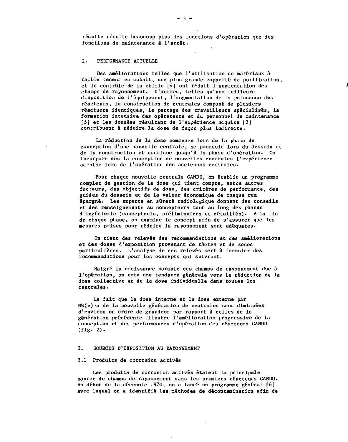**réduite résulte beaucoup plus des fonctions d'opération que des fonctions de maintenance à l'arrêt.**

### **2. PERFORMANCE ACTUELLE**

**Des améliorations telles que l'utilisation de matériaux à faible teneur en cobalt, une plus grande capacité de purification, et le contrôle de la chimie [4] ont réduit l'augmentation des champs de rayonnement. D'autres, telles qu'une meilleure disposition de l'équipement, l'augmentation de la puissance des réacteurs, la construction de centrales composé de plusiers réactuers identiques, le partage des travailleurs spécialisés, la formation intensive des opérateurs et du personnel de maintenance [5] et les données résultant de l'expérience acquise [3] contribuent à réduire la dose de façon plus indirecte.**

**La réduction de la dose commence lors de la phase de conception d'une nouvelle centrale, se poursuit lors du dessein et de la construction et continue jusqu'à la phase d'opération. On incorpore dès la conception de nouvelles centrales l'expérience ac-Mise lors de l'opération des anciennes centrales.**

**Pour chaque nouvelle centrale CANDU, on établit un programme complet de gestion de la dose qui tient compte, entre autres facteurs, des objectifs de dose, des critères de performance, des guides du dessein et de la valeur économique de chaque rem** épargné. Les experts en sûreté radiologique donnent des conseils **et des renseignements au concepteurs tout au long des phases d'ingénierie (conceptuels, préliminaires et détaillés). A la fin de chaque phase, on examine le concept afin de s'assurer que les mesures prises pour réduire le rayonnement sont adéquates.**

**On tient des relevés des recommandations et des améliorations et des doses d'exposition provenant de caches et de zones particulières. L'analyse de ces relevés sert à formuler des recommandations pour les concepts qui suivront.**

**Malgré la croissance normale des champs de rayonnement due à l'opération, on note une tendance générale vers la réduction de la dose collective et de la dose individuelle dans toutes les centrales.**

**Le fait que la dose interne et la dose externe par MW(e) -a de la nouvelle génération de centrales sont diminuées d'environ un ordre de grandeur par rapport â celles de la génération précédente illustre l'amélioration progressive de la conception et des performances d'opération des réacteurs CANDU (fig. 2) .**

#### **3. SOURCES D'EXPOSITION AU RAYONNEMENT**

### **3.1 Produits de corrosion activés**

**Les produits de corrosion activés étaient la principale source de champs de rayonnement auns les premiers réacteurs CANDU. Au début de la décennie 1970, on a lancé un programme général [6] avec lequel on a identifié les méthodes de décontamination afin de**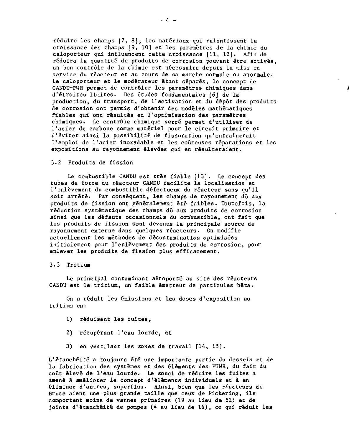réduire les champs [7, 8] , les matériaux qui ralentissent la croissance des champs [9, 10J et les paramètres de la chimie du caloporteur qui influencent cette croissance [11, 12]. Afin de réduire la quantité de produits de corrosion pouvant être activés, un bon contrôle de la chimie est nécessaire depuis la mise en service du réacteur et au cours de sa marche normale ou anormale. Le caloporteur et le modérateur étant séparés, le concept de CANDU-PWR permet de contrôler les paramètres chimiques dans d'étroites limites. Des études fondamentales [6] de la production, du transport, de l'activation et du dépôt des produits de corrosion ont permis d'obtenir des modèles mathématiques fiables qui ont résultés en l'optimisation des paramètres chimiques. Le contrôle chimique serré permet d'utiliser de l'acier de carbone comme matériel pour le circuit primaire et d'éviter ainsi la possibilité de fissuration qu'entraînerait l'emploi de l'acier inoxydable et les coûteuses réparations et les expositions au rayonnement élevées qui en résulteraient.

### 3.2 Produits de fission

Le combustible CANDU est très fiable [13]. Le concept des tubes de force du réacteur CANDU facilite la localisation et l'enlèvement du combustible défectueux du réacteur sans qu'il soit arrêté. Far conséquent, les champs de rayonnement dû aux produits de fission ont généralement été faibles. Toutefois, la réduction systématique des champs dû aux produits de corrosion ainsi que les défauts occasionnels du combustible, ont fait que les produits de fission sont devenus la principale source de rayonnement externe dans quelques réacteurs. On modifie actuellement les méthodes de decontamination optimisées initialement pour l'enlèvement des produits de corrosion, pour enlever les produits de fission plus efficacement.

### 3.3 Tritium

Le principal contaminant aéroporté au site des réacteurs CANDU est le tritium, un faible émetteur de particules bêta.

On a réduit les émissions et les doses d'exposition au tritium en:

- 1) réduisant les fuites,
- 2) récupérant l'eau lourde, et
- 3) en ventilant les zones de travail [14, 15].

L'étanchéité a toujours été une importante partie du dessein et de la fabrication des systèmes et des éléments des PHWR, du fait du coût élevé de l'eau lourde. Le souci de réduire les fuites a amené â améliorer le concept d'éléments individuels et à en éliminer d'autres, superflus. Ainsi, bien que les réacteurs de Bruce aient une plus grande taille que ceux de Pickering, ils comportent moins de vannes primaires (19 au lieu de 52) et de joints d'étanchéitê de pompes (A au lieu de 16), ce qui réduit les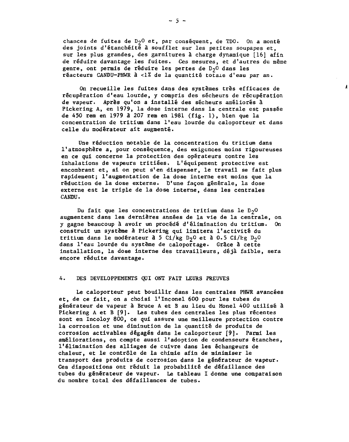chances de fuites de  $D_2O$  et, par conséquent, de TDO. On a monté des joints d'étanchéité à soufflet sur les petites soupapes et, sur les plus grandes, des garnitures à charge dynamique [16] afin de réduire davantage les fuites. Ces mesures, et d'autres du même genre, ont permis de réduire les pertes de  $D_2$ O dans les réacteurs CANDU-PHWR â <1% de la quantité totale d'eau par an.

 $\lambda$ 

On recueille les fuites dans des systèmes très efficaces de récupération d'eau lourde, y compris des sécheurs de récupération de vapeur. Après qu'on a installé des sécheurs améliorés â Pickering A, en 1979, la dose interne dans la centrale est passée de 450 rem en 1979 à 207 rem en 1981 (fig. 1) , bien que la concentration de tritium dans l'eau lourde du caloporteur et dans celle du modérateur ait augmenté.

Une réduction notable de la concentration du tritium dans l'atmosphère a, pour conséquence, des exigences moins rigoureuses en ce qui concerne la protection des opérateurs contre les inhalations de vapeurs tritiées. L'équipement protective est encombrant et, si on peut s'en dispenser, le travail se fait plus rapidement; l'augmentation de la dose interne est moins que la réduction de la dose externe. D'une façon générale, la dose externe est le triple de la dose interne, dans les centrales CANDU.

Du fait que les concentrations de tritium dans le  $D_2$ O augmentent dans les dernières années de la vie de la centrale, on y gagne beaucoup à avoir un procédé d'élimination du tritium. On construit un système à Pickering qui limitera l'activité du tritium dans le modérateur à 5 Ci/kg D<sub>2</sub>O et à 0.5 Ci/kg D<sub>2</sub>O dans l'eau lourde du système de caloportage. Grâce à cette installation, la dose interne des travailleurs, déjà faible, sera encore réduite davantage.

### 4. DES DEVELOPPEMENTS QUI ONT FAIT LEURS PREUVES

Le caloporteur peut bouillir dans les centrales PHWR avancées et, de ce fait, on a choisi l'Inconel 600 pour les tubes du générateur de vapeur â Bruce A et B au lieu du Monel 400 utilisé â Pickering A et B [9]. Les tubes des centrales les plus récentes sont en Incoloy 800, ce qui assure une meilleure protection contre la corrosion et une diminution de la quantité de produits de corrosion activables dégagés dans le caloporteur [9]. Parmi les améliorations, on compte aussi l'adoption de condenseurs étanches, l'élimination des alliages de cuivre dans les échangeurs de chaleur, et le contrôle de la chimie afin de minimiser le transport des produits de corrosion dans le générateur de vapeur. Ces dispositions ont réduit la probabilité de défaillance des tubes du générateur de vapeur. Le tableau I donne une comparaison du nombre total des défaillances de tubes.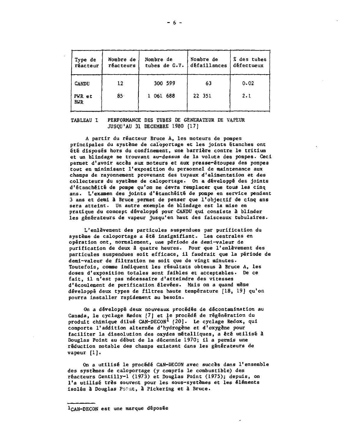| Type de<br>réacteur  | Nombre de<br><b>réacteurs</b> | Nombre de<br>tubes de G.V. | Nombre de<br>défaillances | % des tubes<br>défectueux |
|----------------------|-------------------------------|----------------------------|---------------------------|---------------------------|
| CANDU                | 12                            | 300 599                    | 63                        | 0.02                      |
| PWR et<br><b>BWR</b> | 85.                           | 1 061 688                  | 22 351                    | 2.1                       |

### **TABLEAU 1 PERFORMANCE DES TUBES DE GENERATEUR DE VAPEUR JUSQU'AU 31 DECEMBRE 1980 [17]**

**A partir du réacteur Bruce A, les moteurs de pompes principales du système de caioportage et les joints étanches ont été disposés hors du confinement, une barrière contre le tritium et un blindage se trouvant au-dessus de la volute des pompes. Ceci permet d'avoir accès aux moteurs et aux presse-étoupes des pompes tout en minimisant l'exposition du personnel de maintenance aux champs de rayonnement provenant des tuyaux d'alimentation et des collecteurs du système de caioportage. On a développé des joints d'ëtanchéité de pompe qu'on ne devra remplacer que tous les cinq ans. L'examen des joints d'étanchêité de pompe en service pendant 3 ans et demi à Bruce permet de penser que l'objectif de cinq ans sera atteint. Un autre exemple de blindage est la mise en pratique du concept développé pour CANDU qui consiste â blinder les générateurs de vapeur jusqu'en haut des faisceaux tubulaires.**

**L'enlèvement des particules suspendues par purification du système de caioportage a êtë insignifiant. Les centrales en opération ont, normalement, une période de demi—valeur de purification de deux â quatre heures. Pour que l'enlèvement des particules suspendues soit efficace, il faudrait que la période de demi-valeur de filtration ne soit que de vingt minutes. Toutefois, comme indiquent les résultats obtenus â Bruce A, les doses d'exposition totales sont faibles et acceptables. De ce fait, il n'est pas nécessaire d'atteindre des vitesses d'écoulement de purification élevées. Mais on a quand même développé deux types de filtres haute température [18, 19] qu'on pourra installer rapidement au besoin.**

**On a développé deux nouveaux procédés de décontamination au Canada, le cyclage Redox [7] et le procédé de régénération du produit chimique dilué CAN-DECON<sup>1</sup> (20]. Le cyclage Redox, qui comporte l'addition alternée d'hydrogène et d'oxygène pour faciliter la dissolution des oxydes métalliques, a été utilisé â Douglas Point au début de la décennie 1970; il a permis une réduction notable des champs existant dans les générateurs de vapeur [1].**

**On a utilisé le procédé CAN-DECON avec succès dans l'ensemble des systèmes de caioportage (y compris le combustible) des réacteurs Gentilly-1 (1973) et Douglas Point (1975); depuis, on l'a utilisé très souvent pour les sous-systèmes et les elements isolés à Douglas Pc\*ut, à Pickering et à Bruce.**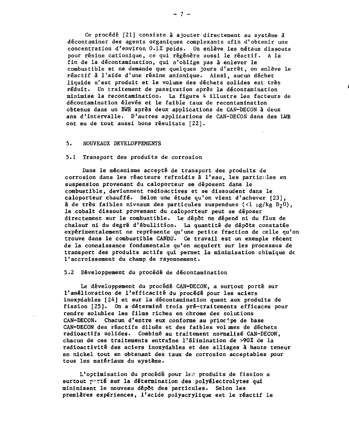Ce procédé [21] consiste à ajouter directement au système à décontaminer des agents organiques complexants afin d'obtenir une concentration d'environ 0.1% poids. On enlève les métaux dissouts pour résine cationique, ce qui régénère aussi le réactif. A la fin de la decontamination, qui n'oblige pas à enlever le combustible et ne demande que quelques jours d'arrêt, on enlève le réactif à l'aide d'une résine anionique. Ainsi, aucun déchet liquide n'est produit et le volume des déchets solides est très réduit. Un traitement de passivation après la decontamination minimise la recontamination. La figure 4 illustre les facteurs de décontamination élevés et le faible taux de recontamination obtenus dans un BWR après deux applications de CAN-DECON à deux ans d'intervalle. D'autres applications de CAN-DECON dans des LWR ont eu de tout aussi bons résultats [22].

### 5. NOUVEAUX DEVELOPPEMENTS

### 5.1 Transport des produits de corrosion

Dans le mécanisme accepté de transport des produits de corrosion dans les réacteurs refroidis â l'eau, les particules en suspension provenant du caloporteur se déposent dans le combustible, deviennent radioactives et se dissoudent dans le caloporteur chauffé. Selon une étude qu'on vient d'achever [23], à de très faibles niveaux des particules suspendues (<1  $\mu$ g/kg D<sub>2</sub>0), le cobalt dissout provenant du caloporteur peut se déposer directement sur le combustible. Le dépôt ne dépend ni du flux de chaleur ni du degré d'ébullition. La quantité de dépôts constatée expérimentalement ne représente qu'une petite fraction de celle qu'on trouve dans le combustible CANDU. Ce travail est un exemple récent de la connaissance fondamentale qu'on acquiert sur les processus de transport des produits actifs qui permet la minimisation chimique de l'accroissement du champ de rayonnement.

# 5.2 Développement du procédé de decontamination

Le développement du procédé CAN-DECON, a surtout porté sur l'amélioration de l'efficacité du procédé pour les aciers inoxydables [24] et sur la décontamination quant aux produits de fission [25]. On a déterminé trois pré-traitements efficaces pour rendre solubles les films riches en chrome des solutions CAN-DECON. Chacun d'entre eux conforme au principe de base CAN-DECON des réactifs dilués et des faibles vol mes de déchets radioactifs solides. Combiné au traitement normalisé CAN-DECON, chacun de ces traitements entraîne l'élimination de >9Q% de la radioactivité des aciers inoxydables et des alliages à haute teneur en nickel tout en obtenant des taux de corrosion acceptables pour tous les matériaux du système.

L'optimisation du procédé pour les produits de fission a surtout porté sur la détermination des polyêlectrolytes qui minimisent le nouveau dépôt des particules. Selon les premières expériences, l'acide polyacrylique est le réactif le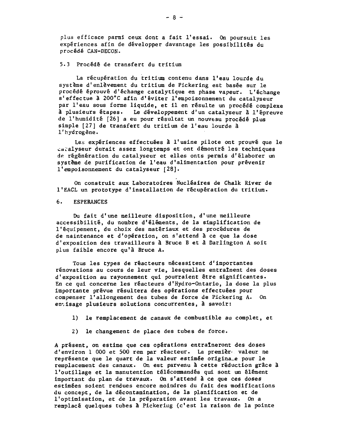plus efficace parmi ceux dont a fait l'essai. On poursuit les expériences afin de développer davantage les possibilités du procédé CAN-DECON.

# 5.3 Procédé de transfert du tritium

La récupération du tritium contenu dans l'eau lourde du système d'enlèvement du tritium de Pickering est basée sur le procédé éprouvé d'échange catalytique en phase vapeur. L'échange s'effectue à 200°C afin d'éviter l'empoisonnement du catalyseur par l'eau sous forme liquide, et il en résulte un procédé complexe à plusieurs étapes. Le développement d'un catalyseur à l'épreuve de l'humidité [26] a eu pour résultat un nouveau procédé plus simple [27] de transfert du tritium de l'eau lourde à l'hydrogène.

Les expériences effectuées à l'usine pilote ont prouvé que le cacalyseur durait assez longtemps et ont démontré les techniques de régénération du catalyseur et elles onts permis d'élaborer un système de purification de l'eau d'alimentation pour prévenir l'empoisonnement du catalyseur [28].

On construit aux Laboratoires Nucléaires de Chalk River de l'EACL un prototype d'installation de récupération du tritium.

### 6. ESPERANCES

Du fait d'une meilleure disposition, d'une meilleure accessibilité, du nombre d'éléments, de la simplification de l'équipement, du choix des matériaux et des procédures de de maintenance et d'opération, on s'attend à ce que la dose d'exposition des travailleurs à Bruce B et à Darlington A soit plus faible encore qu'à Bruce A.

Tous les types de réacteurs nécessitent d'importantes rénovations au cours de leur vie, lesquelles entraînent des doses d'exposition au rayonnement qui pourraient être significantes. En ce qui concerne les réacteurs d'Hydro-Ontario, la dose la plus importante prévue résultera des opérations effectuées pour compenser l'allongement des tubes de force de Pickering A. On envisage plusieurs solutions concurrentes, à savoir:

- 1) le remplacement de canaux de combustible au complet, et
- 2) le changement de place des tubes de force.

A présent, on estime que ces opérations entraîneront des doses d'environ 1 000 et 500 rem par réacteur. La premier« valeur ne représente que le quart de la valeur estimée originale pour le remplacement des canaux. On est parvenu â cette réduction grâce à l'outillage et la manutention télécommandés qui sont un élément important du plan de travaux. On s'attend à ce que ces doses estimées soient rendues encore moindres du fait des modifications du concept, de la décontamination, de la planification et de l'optimisation, et de la préparation avant les travaux. On a remplacé quelques tubes â Pickering (c'est la raison de la pointe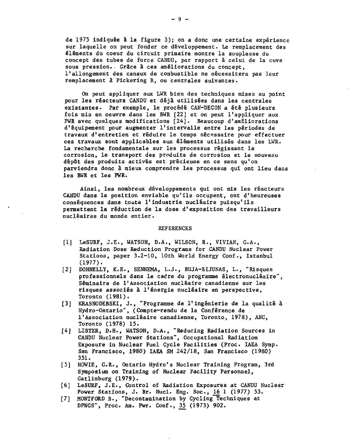de 1975 indiquée à la figure 3); on a donc une certaine expérience sur laquelle on peut fonder ce développement. Le remplacement des éléments du coeur du circuit primaire montre la souplesse du concept des tubes de force CANDU, par rapport à celui de la cuve sous pression.. Grâce à ces améliorations du concept, l'allongement des canaux de combustible ne nécessitera pas leur remplacement â Pickering B, ou centrales suivantes.

On peut appliquer aux LWR bien des techniques mises au point pour les réacteurs CANDU et déjà utilisées dans les centrales existantes. Par exemple, le procédé CAN-DECON a été plusieurs fois mis en oeuvre dans les BWR [22] et on peut l'appliquer aux PWR avec quelques modifications [24]. Beaucoup d'améliorations d'équipement pour augmenter l'intervalle entre les périodes de travaux d'entretien et réduire le temps nécessaire pour effectuer ces travaux sont applicables aux éléments utilisés dans les LWR. La recherche fondamentale sur les processus régissant la corrosion, le transport des produits de corrosion et le nouveau dépôt des produits activés est précieuse en ce sens qu'on parviendra donc â mieux comprendre les processus qui ont lieu dans les BWR et les PWR.

Ainsi, les nombreux développements qui ont mis les réacteurs CANDU dans la position enviable qu'ils occupent, ont d'heureuses conséquences dans toute l'industrie nucléaire puisqu'ils permettent la réduction de la dose d'exposition des travailleurs nucléaires du monde entier.

#### REFERENCES

- [1] LeSURF, J.E., WATSON, D.A., WILSON, R., VIVIAN, G.A., Radiation Dose Reduction Programs for CANDU Nuclear Power Stations, paper 3.2-10, 10th World Energy Conf., Istanbul (1977).
- [2] DONNELLY, K.E., SENNEMA, L.J., BUJA-BIJUNAS, L., "Risques professionnels dans le cadre du programme électronucléaire", Séminaire de l'Association nucléaire canadienne sur les risques associés à l'énergie nucléaire en perspective, Toronto (1981).
- [3] KRASNODEBSKI, J., "Programme de l'ingénierie de la qualité à Hydro-Ontario", (Compte-rendu de la Conférence de l'Association nucléaire canadienne, Toronto, 1978), ANC, Toronto (1978) 15.
- [4] LISTER, D.H., WATSON, D.A., "Reducing Radiation Sources in CANDU Nuclear Power Stations", Occupational Radiation Exposure in Nuclear Fuel Cycle Facilities (Proc. IAEA Symp. San Francisco, 1980) IAEA SM 242/18, San Francisco (1980) 351.
- [5] HOWIE, G.R., Ontario Hydro's Nuclear Training Program, 3rd Symposium on Training of Nuclear Facility Personnel, Gatlinburg (1979).
- [6] LeSURF, J.E., Control of Radiation Exposures at CANDU Nuclear Power Stations, J. Br. Nucl. Eng. Soc., 16 1 (1977) 53.
- [7] MONTFORD B., "Decontamination by Cycling Techniques at DPNGS", Proc. Am. Pwr. Conf., 35 (1973) 902.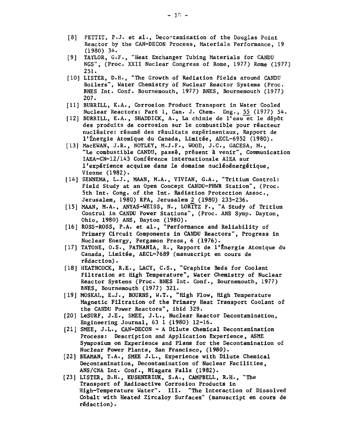- [8] PETTIT, P.J. et al., Decortamination of the Douglas Point Reactor by the CAN-DECON Process, Materials Performance, 19 (1980) 34.
- [9] TAYLOR, G.F., "Heat Exchanger Tubing Materials for CANDU NGS", (Proc. XXII Nuclear Congress of Rome, 1977) Rome (1977) 251.
- [10] LISTER, D.H., "The Growth of Radiation Fields around CANDU Boilers", Water Chemistry of Nuclear Reactor Systems (Proc. BNES Int. Conf. Bournemouth, 1977) BNES, Bournemouth (1977) 207.
- [11] BURRILL, K.A., Corrosion Product Transport in Water Cooled Nuclear Reactors: Part 1, Can. J. Chem. Eng., 55 (1977) 54.
- [12] BURRILL, K.A., SHADDICK, A., La chimie de l'eau et le dépôt des produits de corrosion sur le combustible pour reacteur nucleaire: resume des resultats experimentaux, Rapport de l'Energie Atomique du Canada, Limitee, AECL-6952 (1980).
- [13] MacEWAN, J.R., NOTLEY, M.J.F-, WOOD, J.C., GACESA, M., "Le combustible CANDU, passé, présent à venir", Communication IAEA-CN-12/143 Conference Internationale AIEA sur l'expérience acquise dans le domaine nucléoénergétique, Vienne (1982).
- [14] SENNEMA, L.J., MAAN, M.A., VIVIAN, G.A., "Tritium Control: Field Study at an Open Concept CANDU-PHWR Station", (Proc. 5th Int. Cong, of the Int. Radiation Protection Assoc, Jerusalem, 1980) RPA, Jerusalem 2 (1980) 233-236.
- [15] MAAN, M.A., ANYAS-WEISS, N., LORITZ F., "A Study of Tritium Control in CANDU Power Stations", (Proc. ANS Symp. Dayton, Ohio, 1980) ANS, Dayton (1980).
- [16] ROSS-ROSS, P.A. et al., "Performance and Reliability of Primary Circuit Components in CANDU Reactors", Progress in Nuclear Energy, Pergamon Press, 6 (1976).
- [17] TATONE, O.S., PATHANIA, R., Rapport de l'Energie Atomique du Canada, Limitee, AECL-7689 (manuscript en cours de redaction).
- [18] HEATHCOCK, R.E., LACY, C.S., "Graphite Beds for Coolant Filtration at High Temperature", Water Chemistry of Nuclear Reactor Systems (Proc. BNES Int. Conf., Bournemouth, 1977) BNES, Bournemouth (1977) 321.
- [19] MOSKAL, E.J., BOURNS, W.T., "High Flow, High Temperature Magnetic Filtration of the Primary Heat Transport Coolant of the CANDU Power Reactors", ibid 329.
- [20] LeSURF, J.E., SMEE, J.L., Nuclear Reactor Decontamination, Engineering Journal, 63 1 (1980) 12-16.
- [21] SMEE, J.L., CAN-DECON A Dilute Chemical Decontamination Process: Description and Application Experience, ASME Symposium on Experience and Plans for the Decontamination of Nuclear Power Plants, San Francisco, (1980).
- [22] BEAMAN, T.A., SMEE J.L., Experience with Dilute Chemical Decontamination, Decontamination of Nuclear Facilities, ANS/CNA Int. Conf., Niagara Falls (1982).
- [23] LISTER, D.H., KUSHNERIUK, S.A., CAMPBELL, R.H., "The Transport of Radioactive Corrosion Products in High-Temperature Water". III. "The Interaction of Dissolved Cobalt with Heated Zircaloy Surfaces" (manuscript en cours de redaction).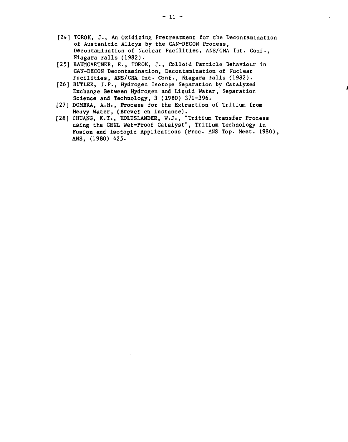- [24] TOROK, J., An Oxidizing Pretreatment for the Decontamination of Austenitic Alloys by the CAN-DECON Process, Decontamination of Nuclear Facilities, ANS/CNA Int. Conf., Niagara Falls (1982).
- [25] BAUMGARTNER, E., TOROK, J., Colloid Particle Behaviour in CAN-DECON Decontamination, Decontamination of Nuclear Facilities, ANS/CNA Int. Conf., Niagara Falls (1982).
- [26] BUTLER, J.P., Hydrogen Isotope Separation by Catalyzed Exchange Between Hydrogen and Liquid Water, Separation Science and Technology, 3 (1980) 371-396.
- [27] DOMBRA, A.H., Process for the Extraction of Tritium from Heavy Water, (Brevet en instance).
- [28] CHUANG, K.T., HOLTSLANDER, W.J., "Tritium Transfer Process using the CRNL Wet-Proof Catalyst", Tritium Technology in Fusion and Isotopic Applications (Proc. ANS Top. Meet. 1980), ANS, (1980) 425.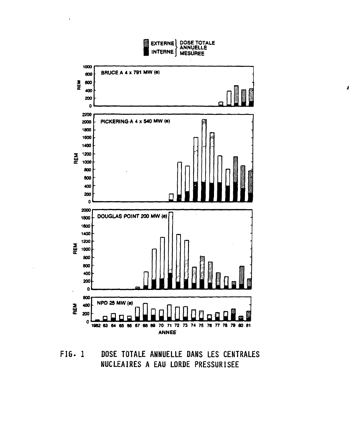

A

**FIG. 1 DOSE TOTALE ANNUELLE DANS LES CENTRALES NUCLEAIRES A EAU LORDE PRESSURISEE**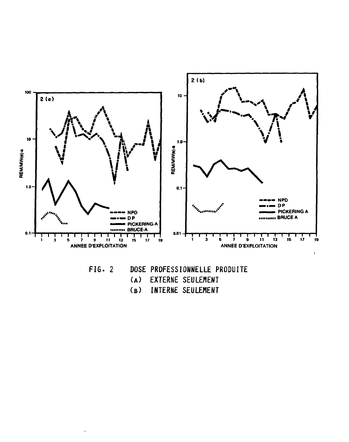

- **FIG. 2 DOSE PROFESS IONNELLE PRODUITE**
	-
	- **( A) EXTERNE SEULEMENT ( B) INTERNE SEULEMENT**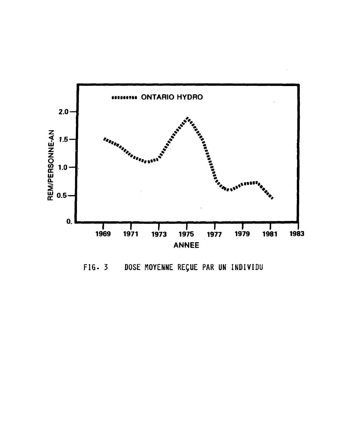

FIG- 3 DOSE MOYENNE REQUE PAR UN INDIVIDU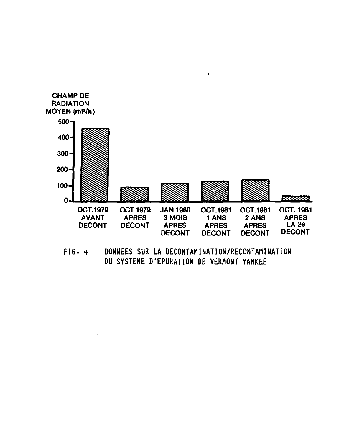

 $\mathbf{r}$ 

**FIG . 4 DONNEES SUR LA DECONTAMI NAT ION/RECONTAMI NATI ON DU SYSTEME D'EPURATION DE VERMONT YANKEE**

 $\bar{\bar{z}}$